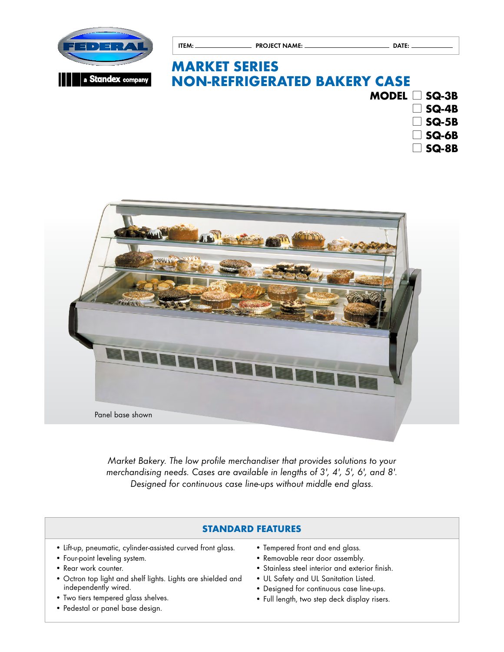

# **MARKET SERIES NON-REFRIGERATED BAKERY CASE**

ITEM: PROJECT NAME: DATE:



l **SQ-8B**



*Market Bakery. The low profile merchandiser that provides solutions to your merchandising needs. Cases are available in lengths of 3', 4', 5', 6', and 8'. Designed for continuous case line-ups without middle end glass.*

## **STANDARD FEATURES**

- Lift-up, pneumatic, cylinder-assisted curved front glass.
- Four-point leveling system.
- Rear work counter.
- Octron top light and shelf lights. Lights are shielded and independently wired.
- Two tiers tempered glass shelves.
- Pedestal or panel base design.
- Tempered front and end glass.
- Removable rear door assembly.
- Stainless steel interior and exterior finish.
- UL Safety and UL Sanitation Listed.
- Designed for continuous case line-ups.
- Full length, two step deck display risers.